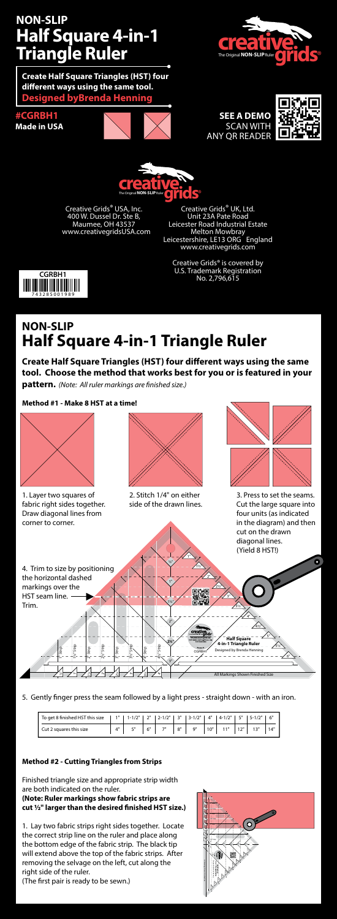## **NON-SLIP Half Square 4-in-1 Triangle Ruler**

**Create Half Square Triangles (HST) four diff erent ways using the same tool. Designed byBrenda Henning**

**#CGRBH1 Made in USA**





## **SEE A DEMO** SCAN WITH ANY QR READER





Creative Grids® USA, Inc. 400 W. Dussel Dr. Ste B, Maumee, OH 43537 www.creativegridsUSA.com

Creative Grids® UK, Ltd. Unit 23A Pate Road Leicester Road Industrial Estate Melton Mowbray Leicestershire, LE13 ORG England www.creativegrids.com

Creative Grids® is covered by U.S. Trademark Registration No. 2,796,615



# **NON-SLIP Half Square 4-in-1 Triangle Ruler**

**Create Half Square Triangles (HST) four different ways using the same tool. Choose the method that works best for you or is featured in your**  pattern. (Note: All ruler markings are finished size.)

### **Method #1 - Make 8 HST at a time!**



5. Gently finger press the seam followed by a light press - straight down - with an iron.

| To get 8 finished HST this size |                         | $1"$ 1 $-1/2"$ |    | 2"   2-1/2"   3"   3-1/2"   4"   4-1/2"   5"   5-1/2"   6" |    |    |     |  |  |
|---------------------------------|-------------------------|----------------|----|------------------------------------------------------------|----|----|-----|--|--|
| Ⅰ Cut 2 squares this size       | $\Lambda$ <sup>11</sup> | 5"             | 6" | 70                                                         | 8" | Q" | 10" |  |  |

### **Method #2 - Cutting Triangles from Strips**

Finished triangle size and appropriate strip width are both indicated on the ruler. **(Note: Ruler markings show fabric strips are** 

## cut 1/2" larger than the desired finished HST size.)

1. Lay two fabric strips right sides together. Locate the correct strip line on the ruler and place along the bottom edge of the fabric strip. The black tip will extend above the top of the fabric strips. After removing the selvage on the left, cut along the right side of the ruler.

(The first pair is ready to be sewn.)